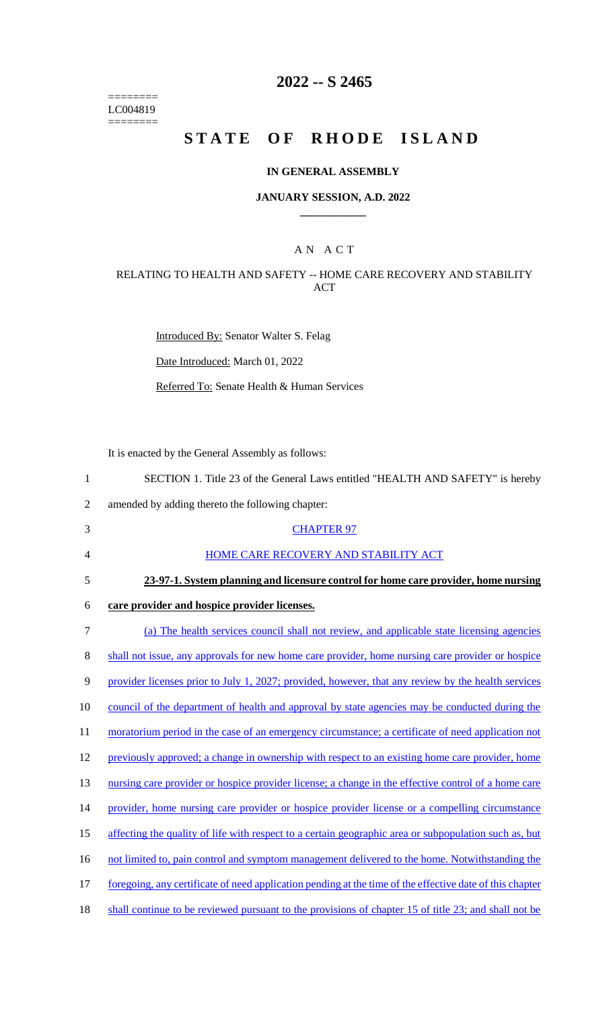======== LC004819  $=$ 

# **2022 -- S 2465**

# STATE OF RHODE ISLAND

## **IN GENERAL ASSEMBLY**

### **JANUARY SESSION, A.D. 2022 \_\_\_\_\_\_\_\_\_\_\_\_**

## A N A C T

## RELATING TO HEALTH AND SAFETY -- HOME CARE RECOVERY AND STABILITY ACT

Introduced By: Senator Walter S. Felag

Date Introduced: March 01, 2022

Referred To: Senate Health & Human Services

It is enacted by the General Assembly as follows:

| $\mathbf{1}$   | SECTION 1. Title 23 of the General Laws entitled "HEALTH AND SAFETY" is hereby                           |
|----------------|----------------------------------------------------------------------------------------------------------|
| $\mathfrak{2}$ | amended by adding thereto the following chapter:                                                         |
| 3              | <b>CHAPTER 97</b>                                                                                        |
| 4              | HOME CARE RECOVERY AND STABILITY ACT                                                                     |
| 5              | 23-97-1. System planning and licensure control for home care provider, home nursing                      |
| 6              | care provider and hospice provider licenses.                                                             |
| $\tau$         | (a) The health services council shall not review, and applicable state licensing agencies                |
| 8              | shall not issue, any approvals for new home care provider, home nursing care provider or hospice         |
| 9              | provider licenses prior to July 1, 2027; provided, however, that any review by the health services       |
| 10             | council of the department of health and approval by state agencies may be conducted during the           |
| 11             | moratorium period in the case of an emergency circumstance; a certificate of need application not        |
| 12             | previously approved; a change in ownership with respect to an existing home care provider, home          |
| 13             | nursing care provider or hospice provider license; a change in the effective control of a home care      |
| 14             | provider, home nursing care provider or hospice provider license or a compelling circumstance            |
| 15             | affecting the quality of life with respect to a certain geographic area or subpopulation such as, but    |
| 16             | not limited to, pain control and symptom management delivered to the home. Notwithstanding the           |
| 17             | foregoing, any certificate of need application pending at the time of the effective date of this chapter |
| 18             | shall continue to be reviewed pursuant to the provisions of chapter 15 of title 23; and shall not be     |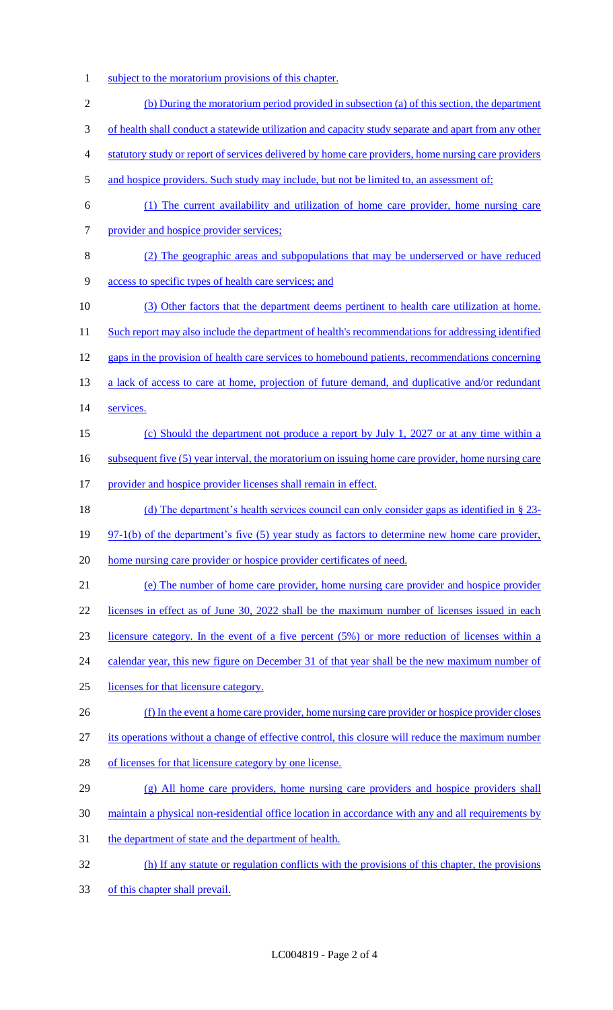- 1 subject to the moratorium provisions of this chapter.
- (b) During the moratorium period provided in subsection (a) of this section, the department of health shall conduct a statewide utilization and capacity study separate and apart from any other statutory study or report of services delivered by home care providers, home nursing care providers 5 and hospice providers. Such study may include, but not be limited to, an assessment of: (1) The current availability and utilization of home care provider, home nursing care provider and hospice provider services; (2) The geographic areas and subpopulations that may be underserved or have reduced access to specific types of health care services; and 10 (3) Other factors that the department deems pertinent to health care utilization at home. 11 Such report may also include the department of health's recommendations for addressing identified gaps in the provision of health care services to homebound patients, recommendations concerning 13 a lack of access to care at home, projection of future demand, and duplicative and/or redundant services. (c) Should the department not produce a report by July 1, 2027 or at any time within a 16 subsequent five (5) year interval, the moratorium on issuing home care provider, home nursing care 17 provider and hospice provider licenses shall remain in effect. (d) The department's health services council can only consider gaps as identified in § 23- 19 97-1(b) of the department's five (5) year study as factors to determine new home care provider, home nursing care provider or hospice provider certificates of need. (e) The number of home care provider, home nursing care provider and hospice provider 22 licenses in effect as of June 30, 2022 shall be the maximum number of licenses issued in each licensure category. In the event of a five percent (5%) or more reduction of licenses within a 24 calendar year, this new figure on December 31 of that year shall be the new maximum number of licenses for that licensure category. (f) In the event a home care provider, home nursing care provider or hospice provider closes its operations without a change of effective control, this closure will reduce the maximum number of licenses for that licensure category by one license. 29 (g) All home care providers, home nursing care providers and hospice providers shall maintain a physical non-residential office location in accordance with any and all requirements by the department of state and the department of health. (h) If any statute or regulation conflicts with the provisions of this chapter, the provisions of this chapter shall prevail.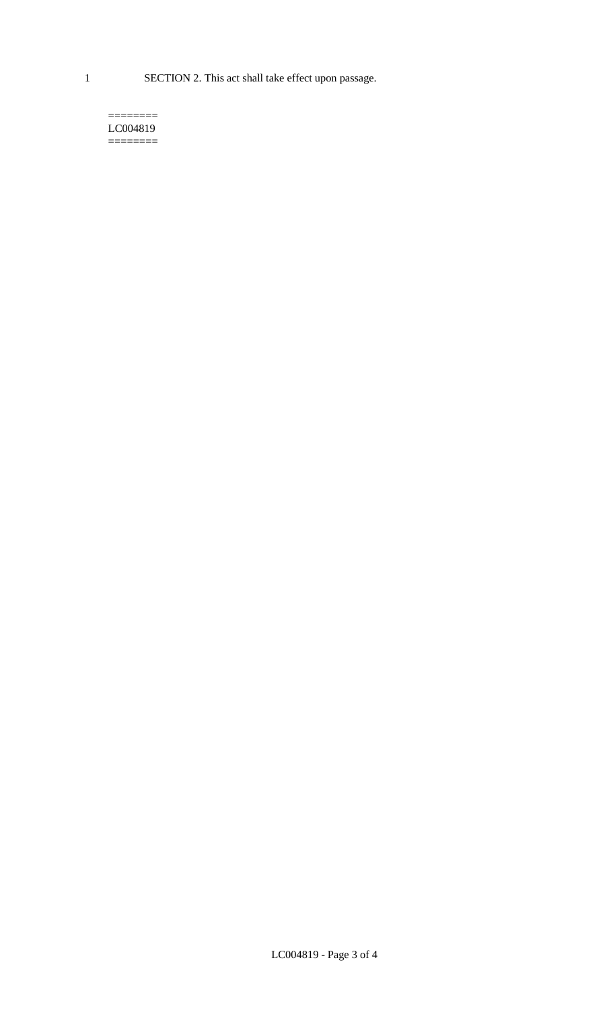1 SECTION 2. This act shall take effect upon passage.

#### $=$ LC004819  $=$

LC004819 - Page 3 of 4